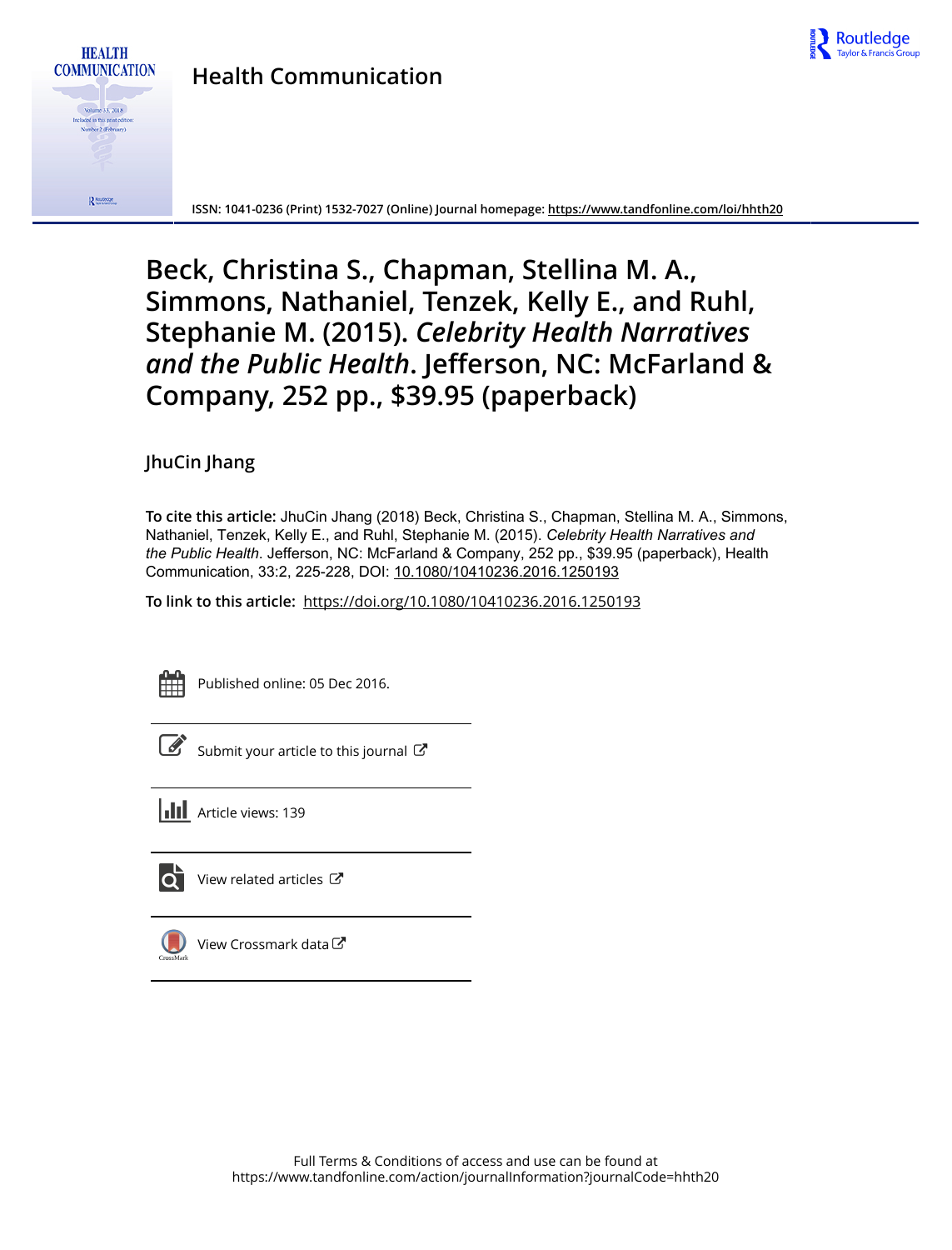

## **Health Communication**



**ISSN: 1041-0236 (Print) 1532-7027 (Online) Journal homepage:<https://www.tandfonline.com/loi/hhth20>**

# **Beck, Christina S., Chapman, Stellina M. A., Simmons, Nathaniel, Tenzek, Kelly E., and Ruhl, Stephanie M. (2015).** *Celebrity Health Narratives and the Public Health***. Jefferson, NC: McFarland & Company, 252 pp., \$39.95 (paperback)**

## **JhuCin Jhang**

**To cite this article:** JhuCin Jhang (2018) Beck, Christina S., Chapman, Stellina M. A., Simmons, Nathaniel, Tenzek, Kelly E., and Ruhl, Stephanie M. (2015). *Celebrity Health Narratives and* the Public Health. Jefferson, NC: McFarland & Company, 252 pp., \$39.95 (paperback), Health Communication, 33:2, 225-228, DOI: [10.1080/10410236.2016.1250193](https://www.tandfonline.com/action/showCitFormats?doi=10.1080/10410236.2016.1250193)

**To link to this article:** <https://doi.org/10.1080/10410236.2016.1250193>



Published online: 05 Dec 2016.

[Submit your article to this journal](https://www.tandfonline.com/action/authorSubmission?journalCode=hhth20&show=instructions)  $\mathbb{Z}$ 

**III** Article views: 139



 $\overline{\mathbf{C}}$  [View related articles](https://www.tandfonline.com/doi/mlt/10.1080/10410236.2016.1250193)  $\mathbf{C}$ 



[View Crossmark data](http://crossmark.crossref.org/dialog/?doi=10.1080/10410236.2016.1250193&domain=pdf&date_stamp=2016-12-05)<sup>C</sup>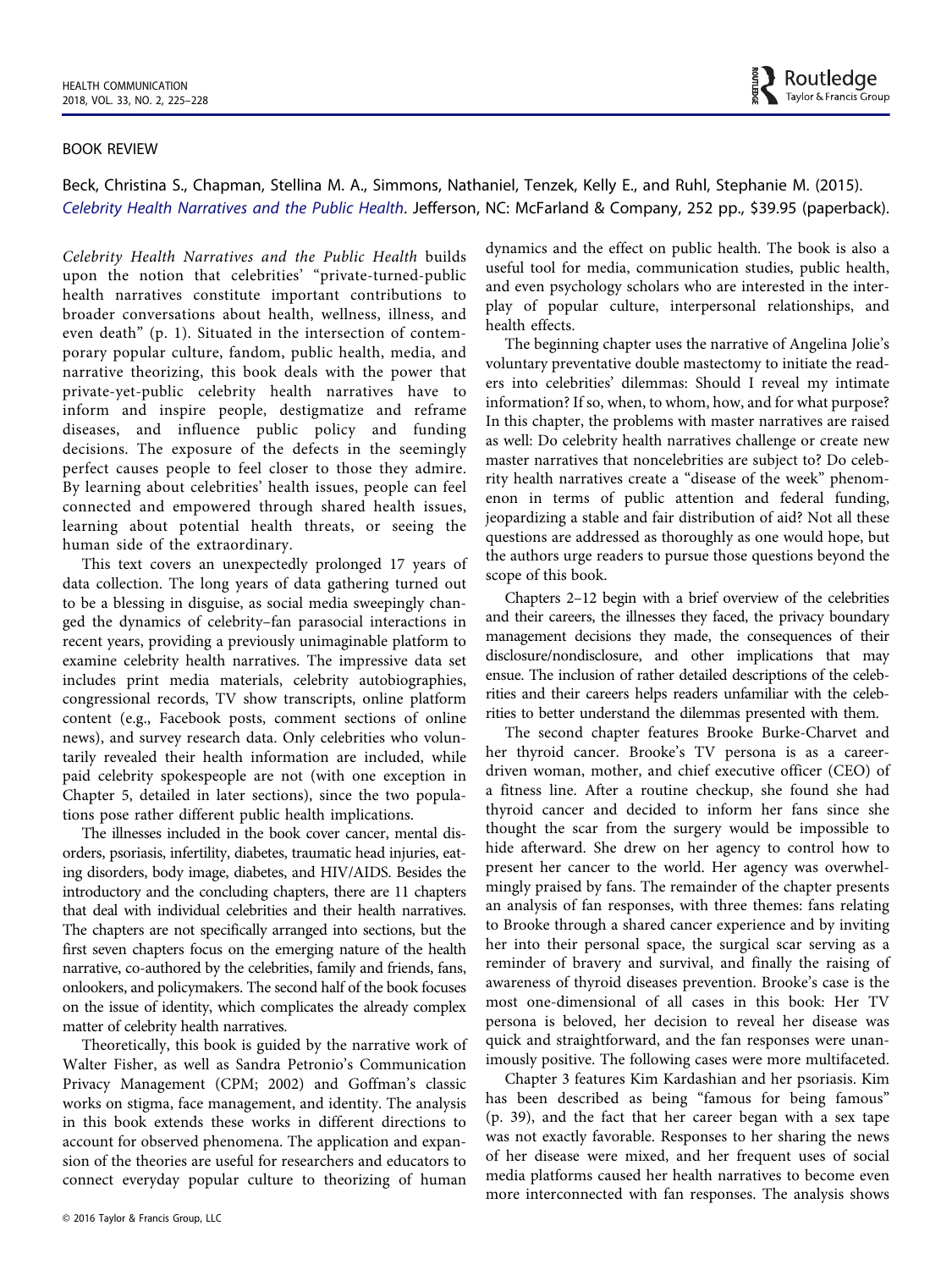

#### BOOK REVIEW

Beck, Christina S., Chapman, Stellina M. A., Simmons, Nathaniel, Tenzek, Kelly E., and Ruhl, Stephanie M. (2015). Celebrity Health Narratives and the Public Health. Jefferson, NC: McFarland & Company, 252 pp., \$39.95 (paperback).

Celebrity Health Narratives and the Public Health builds upon the notion that celebrities' "private-turned-public health narratives constitute important contributions to broader conversations about health, wellness, illness, and even death" (p. 1). Situated in the intersection of contemporary popular culture, fandom, public health, media, and narrative theorizing, this book deals with the power that private-yet-public celebrity health narratives have to inform and inspire people, destigmatize and reframe diseases, and influence public policy and funding decisions. The exposure of the defects in the seemingly perfect causes people to feel closer to those they admire. By learning about celebrities' health issues, people can feel connected and empowered through shared health issues, learning about potential health threats, or seeing the human side of the extraordinary.

This text covers an unexpectedly prolonged 17 years of data collection. The long years of data gathering turned out to be a blessing in disguise, as social media sweepingly changed the dynamics of celebrity–fan parasocial interactions in recent years, providing a previously unimaginable platform to examine celebrity health narratives. The impressive data set includes print media materials, celebrity autobiographies, congressional records, TV show transcripts, online platform content (e.g., Facebook posts, comment sections of online news), and survey research data. Only celebrities who voluntarily revealed their health information are included, while paid celebrity spokespeople are not (with one exception in Chapter 5, detailed in later sections), since the two populations pose rather different public health implications.

The illnesses included in the book cover cancer, mental disorders, psoriasis, infertility, diabetes, traumatic head injuries, eating disorders, body image, diabetes, and HIV/AIDS. Besides the introductory and the concluding chapters, there are 11 chapters that deal with individual celebrities and their health narratives. The chapters are not specifically arranged into sections, but the first seven chapters focus on the emerging nature of the health narrative, co-authored by the celebrities, family and friends, fans, onlookers, and policymakers. The second half of the book focuses on the issue of identity, which complicates the already complex matter of celebrity health narratives.

Theoretically, this book is guided by the narrative work of Walter Fisher, as well as Sandra Petronio's Communication Privacy Management (CPM; 2002) and Goffman's classic works on stigma, face management, and identity. The analysis in this book extends these works in different directions to account for observed phenomena. The application and expansion of the theories are useful for researchers and educators to connect everyday popular culture to theorizing of human

dynamics and the effect on public health. The book is also a useful tool for media, communication studies, public health, and even psychology scholars who are interested in the interplay of popular culture, interpersonal relationships, and health effects.

The beginning chapter uses the narrative of Angelina Jolie's voluntary preventative double mastectomy to initiate the readers into celebrities' dilemmas: Should I reveal my intimate information? If so, when, to whom, how, and for what purpose? In this chapter, the problems with master narratives are raised as well: Do celebrity health narratives challenge or create new master narratives that noncelebrities are subject to? Do celebrity health narratives create a "disease of the week" phenomenon in terms of public attention and federal funding, jeopardizing a stable and fair distribution of aid? Not all these questions are addressed as thoroughly as one would hope, but the authors urge readers to pursue those questions beyond the scope of this book.

Chapters 2–12 begin with a brief overview of the celebrities and their careers, the illnesses they faced, the privacy boundary management decisions they made, the consequences of their disclosure/nondisclosure, and other implications that may ensue. The inclusion of rather detailed descriptions of the celebrities and their careers helps readers unfamiliar with the celebrities to better understand the dilemmas presented with them.

The second chapter features Brooke Burke-Charvet and her thyroid cancer. Brooke's TV persona is as a careerdriven woman, mother, and chief executive officer (CEO) of a fitness line. After a routine checkup, she found she had thyroid cancer and decided to inform her fans since she thought the scar from the surgery would be impossible to hide afterward. She drew on her agency to control how to present her cancer to the world. Her agency was overwhelmingly praised by fans. The remainder of the chapter presents an analysis of fan responses, with three themes: fans relating to Brooke through a shared cancer experience and by inviting her into their personal space, the surgical scar serving as a reminder of bravery and survival, and finally the raising of awareness of thyroid diseases prevention. Brooke's case is the most one-dimensional of all cases in this book: Her TV persona is beloved, her decision to reveal her disease was quick and straightforward, and the fan responses were unanimously positive. The following cases were more multifaceted.

Chapter 3 features Kim Kardashian and her psoriasis. Kim has been described as being "famous for being famous" (p. 39), and the fact that her career began with a sex tape was not exactly favorable. Responses to her sharing the news of her disease were mixed, and her frequent uses of social media platforms caused her health narratives to become even more interconnected with fan responses. The analysis shows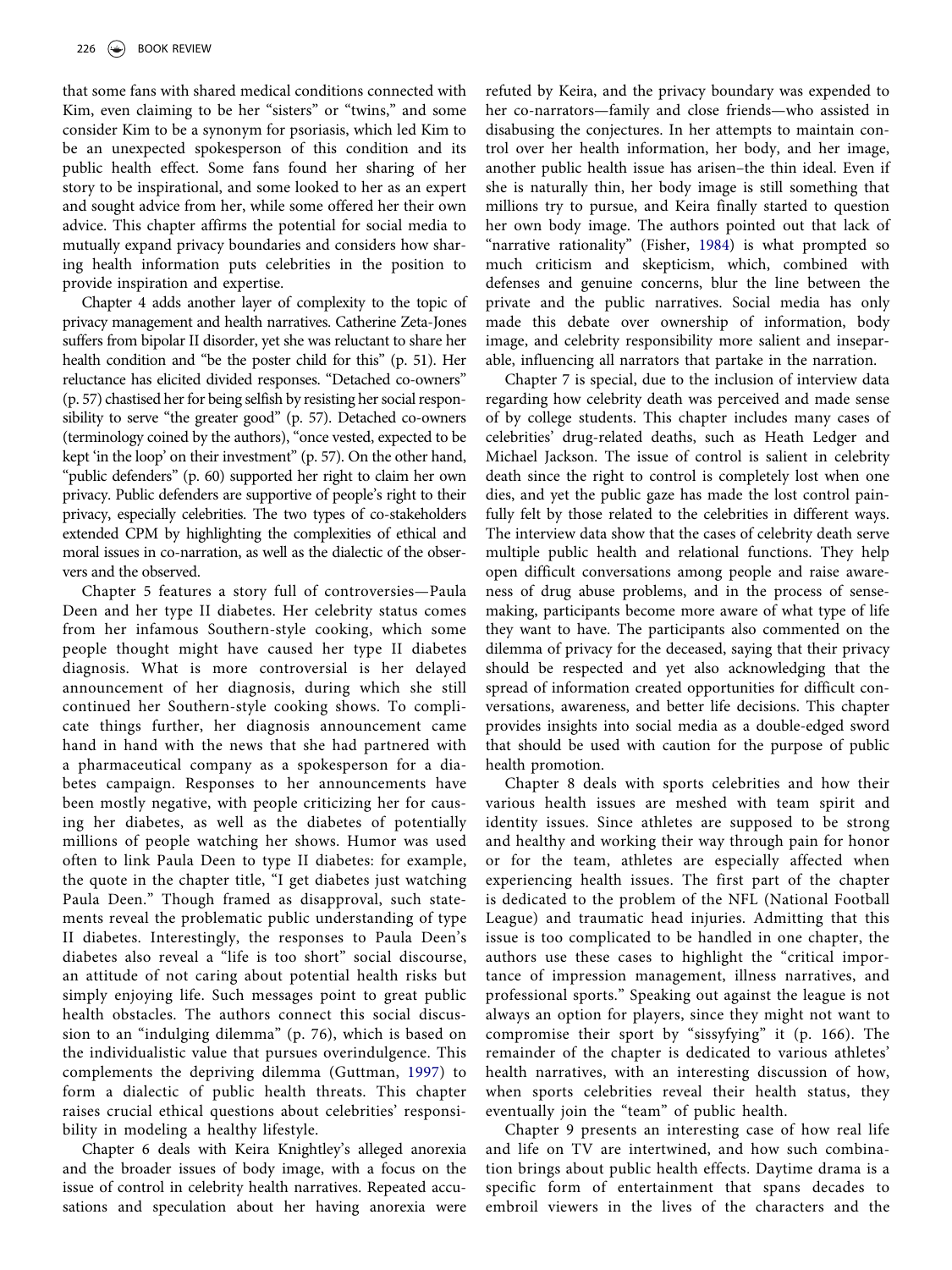that some fans with shared medical conditions connected with Kim, even claiming to be her "sisters" or "twins," and some consider Kim to be a synonym for psoriasis, which led Kim to be an unexpected spokesperson of this condition and its public health effect. Some fans found her sharing of her story to be inspirational, and some looked to her as an expert and sought advice from her, while some offered her their own advice. This chapter affirms the potential for social media to mutually expand privacy boundaries and considers how sharing health information puts celebrities in the position to provide inspiration and expertise.

Chapter 4 adds another layer of complexity to the topic of privacy management and health narratives. Catherine Zeta-Jones suffers from bipolar II disorder, yet she was reluctant to share her health condition and "be the poster child for this" (p. 51). Her reluctance has elicited divided responses. "Detached co-owners" (p. 57) chastised her for being selfish by resisting her social responsibility to serve "the greater good" (p. 57). Detached co-owners (terminology coined by the authors), "once vested, expected to be kept 'in the loop' on their investment" (p. 57). On the other hand, "public defenders" (p. 60) supported her right to claim her own privacy. Public defenders are supportive of people's right to their privacy, especially celebrities. The two types of co-stakeholders extended CPM by highlighting the complexities of ethical and moral issues in co-narration, as well as the dialectic of the observers and the observed.

Chapter 5 features a story full of controversies—Paula Deen and her type II diabetes. Her celebrity status comes from her infamous Southern-style cooking, which some people thought might have caused her type II diabetes diagnosis. What is more controversial is her delayed announcement of her diagnosis, during which she still continued her Southern-style cooking shows. To complicate things further, her diagnosis announcement came hand in hand with the news that she had partnered with a pharmaceutical company as a spokesperson for a diabetes campaign. Responses to her announcements have been mostly negative, with people criticizing her for causing her diabetes, as well as the diabetes of potentially millions of people watching her shows. Humor was used often to link Paula Deen to type II diabetes: for example, the quote in the chapter title, "I get diabetes just watching Paula Deen." Though framed as disapproval, such statements reveal the problematic public understanding of type II diabetes. Interestingly, the responses to Paula Deen's diabetes also reveal a "life is too short" social discourse, an attitude of not caring about potential health risks but simply enjoying life. Such messages point to great public health obstacles. The authors connect this social discussion to an "indulging dilemma" (p. 76), which is based on the individualistic value that pursues overindulgence. This complements the depriving dilemma (Guttman, [1997](#page-4-0)) to form a dialectic of public health threats. This chapter raises crucial ethical questions about celebrities' responsibility in modeling a healthy lifestyle.

Chapter 6 deals with Keira Knightley's alleged anorexia and the broader issues of body image, with a focus on the issue of control in celebrity health narratives. Repeated accusations and speculation about her having anorexia were refuted by Keira, and the privacy boundary was expended to her co-narrators—family and close friends—who assisted in disabusing the conjectures. In her attempts to maintain control over her health information, her body, and her image, another public health issue has arisen–the thin ideal. Even if she is naturally thin, her body image is still something that millions try to pursue, and Keira finally started to question her own body image. The authors pointed out that lack of "narrative rationality" (Fisher, [1984](#page-4-1)) is what prompted so much criticism and skepticism, which, combined with defenses and genuine concerns, blur the line between the private and the public narratives. Social media has only made this debate over ownership of information, body image, and celebrity responsibility more salient and inseparable, influencing all narrators that partake in the narration.

Chapter 7 is special, due to the inclusion of interview data regarding how celebrity death was perceived and made sense of by college students. This chapter includes many cases of celebrities' drug-related deaths, such as Heath Ledger and Michael Jackson. The issue of control is salient in celebrity death since the right to control is completely lost when one dies, and yet the public gaze has made the lost control painfully felt by those related to the celebrities in different ways. The interview data show that the cases of celebrity death serve multiple public health and relational functions. They help open difficult conversations among people and raise awareness of drug abuse problems, and in the process of sensemaking, participants become more aware of what type of life they want to have. The participants also commented on the dilemma of privacy for the deceased, saying that their privacy should be respected and yet also acknowledging that the spread of information created opportunities for difficult conversations, awareness, and better life decisions. This chapter provides insights into social media as a double-edged sword that should be used with caution for the purpose of public health promotion.

Chapter 8 deals with sports celebrities and how their various health issues are meshed with team spirit and identity issues. Since athletes are supposed to be strong and healthy and working their way through pain for honor or for the team, athletes are especially affected when experiencing health issues. The first part of the chapter is dedicated to the problem of the NFL (National Football League) and traumatic head injuries. Admitting that this issue is too complicated to be handled in one chapter, the authors use these cases to highlight the "critical importance of impression management, illness narratives, and professional sports." Speaking out against the league is not always an option for players, since they might not want to compromise their sport by "sissyfying" it (p. 166). The remainder of the chapter is dedicated to various athletes' health narratives, with an interesting discussion of how, when sports celebrities reveal their health status, they eventually join the "team" of public health.

Chapter 9 presents an interesting case of how real life and life on TV are intertwined, and how such combination brings about public health effects. Daytime drama is a specific form of entertainment that spans decades to embroil viewers in the lives of the characters and the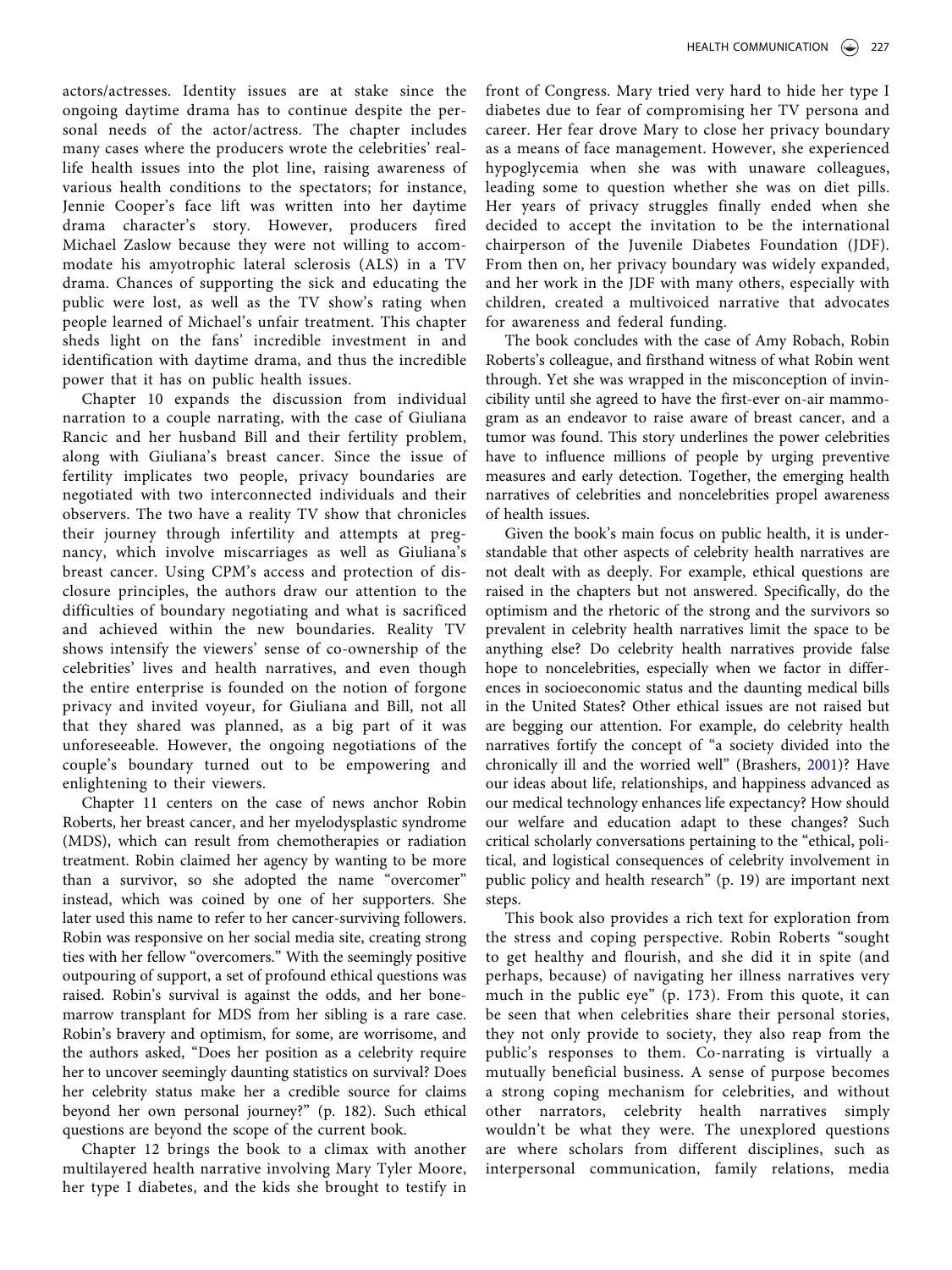actors/actresses. Identity issues are at stake since the ongoing daytime drama has to continue despite the personal needs of the actor/actress. The chapter includes many cases where the producers wrote the celebrities' reallife health issues into the plot line, raising awareness of various health conditions to the spectators; for instance, Jennie Cooper's face lift was written into her daytime drama character's story. However, producers fired Michael Zaslow because they were not willing to accommodate his amyotrophic lateral sclerosis (ALS) in a TV drama. Chances of supporting the sick and educating the public were lost, as well as the TV show's rating when people learned of Michael's unfair treatment. This chapter sheds light on the fans' incredible investment in and identification with daytime drama, and thus the incredible power that it has on public health issues.

Chapter 10 expands the discussion from individual narration to a couple narrating, with the case of Giuliana Rancic and her husband Bill and their fertility problem, along with Giuliana's breast cancer. Since the issue of fertility implicates two people, privacy boundaries are negotiated with two interconnected individuals and their observers. The two have a reality TV show that chronicles their journey through infertility and attempts at pregnancy, which involve miscarriages as well as Giuliana's breast cancer. Using CPM's access and protection of disclosure principles, the authors draw our attention to the difficulties of boundary negotiating and what is sacrificed and achieved within the new boundaries. Reality TV shows intensify the viewers' sense of co-ownership of the celebrities' lives and health narratives, and even though the entire enterprise is founded on the notion of forgone privacy and invited voyeur, for Giuliana and Bill, not all that they shared was planned, as a big part of it was unforeseeable. However, the ongoing negotiations of the couple's boundary turned out to be empowering and enlightening to their viewers.

Chapter 11 centers on the case of news anchor Robin Roberts, her breast cancer, and her myelodysplastic syndrome (MDS), which can result from chemotherapies or radiation treatment. Robin claimed her agency by wanting to be more than a survivor, so she adopted the name "overcomer" instead, which was coined by one of her supporters. She later used this name to refer to her cancer-surviving followers. Robin was responsive on her social media site, creating strong ties with her fellow "overcomers." With the seemingly positive outpouring of support, a set of profound ethical questions was raised. Robin's survival is against the odds, and her bonemarrow transplant for MDS from her sibling is a rare case. Robin's bravery and optimism, for some, are worrisome, and the authors asked, "Does her position as a celebrity require her to uncover seemingly daunting statistics on survival? Does her celebrity status make her a credible source for claims beyond her own personal journey?" (p. 182). Such ethical questions are beyond the scope of the current book.

Chapter 12 brings the book to a climax with another multilayered health narrative involving Mary Tyler Moore, her type I diabetes, and the kids she brought to testify in

front of Congress. Mary tried very hard to hide her type I diabetes due to fear of compromising her TV persona and career. Her fear drove Mary to close her privacy boundary as a means of face management. However, she experienced hypoglycemia when she was with unaware colleagues, leading some to question whether she was on diet pills. Her years of privacy struggles finally ended when she decided to accept the invitation to be the international chairperson of the Juvenile Diabetes Foundation (JDF). From then on, her privacy boundary was widely expanded, and her work in the JDF with many others, especially with children, created a multivoiced narrative that advocates for awareness and federal funding.

The book concludes with the case of Amy Robach, Robin Roberts's colleague, and firsthand witness of what Robin went through. Yet she was wrapped in the misconception of invincibility until she agreed to have the first-ever on-air mammogram as an endeavor to raise aware of breast cancer, and a tumor was found. This story underlines the power celebrities have to influence millions of people by urging preventive measures and early detection. Together, the emerging health narratives of celebrities and noncelebrities propel awareness of health issues.

Given the book's main focus on public health, it is understandable that other aspects of celebrity health narratives are not dealt with as deeply. For example, ethical questions are raised in the chapters but not answered. Specifically, do the optimism and the rhetoric of the strong and the survivors so prevalent in celebrity health narratives limit the space to be anything else? Do celebrity health narratives provide false hope to noncelebrities, especially when we factor in differences in socioeconomic status and the daunting medical bills in the United States? Other ethical issues are not raised but are begging our attention. For example, do celebrity health narratives fortify the concept of "a society divided into the chronically ill and the worried well" (Brashers, [2001\)](#page-4-2)? Have our ideas about life, relationships, and happiness advanced as our medical technology enhances life expectancy? How should our welfare and education adapt to these changes? Such critical scholarly conversations pertaining to the "ethical, political, and logistical consequences of celebrity involvement in public policy and health research" (p. 19) are important next steps.

This book also provides a rich text for exploration from the stress and coping perspective. Robin Roberts "sought to get healthy and flourish, and she did it in spite (and perhaps, because) of navigating her illness narratives very much in the public eye" (p. 173). From this quote, it can be seen that when celebrities share their personal stories, they not only provide to society, they also reap from the public's responses to them. Co-narrating is virtually a mutually beneficial business. A sense of purpose becomes a strong coping mechanism for celebrities, and without other narrators, celebrity health narratives simply wouldn't be what they were. The unexplored questions are where scholars from different disciplines, such as interpersonal communication, family relations, media